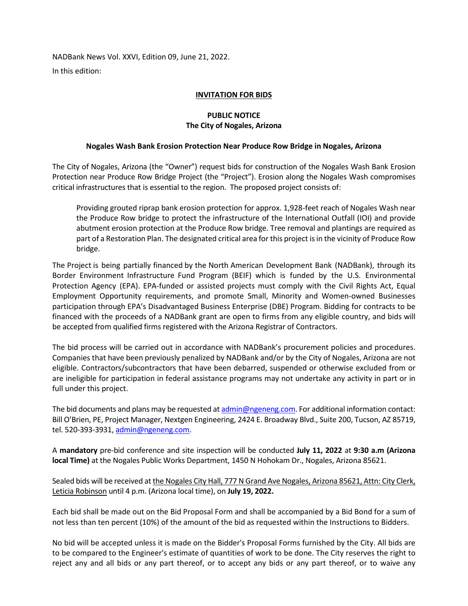NADBank News Vol. XXVI, Edition 09, June 21, 2022. In this edition:

## **INVITATION FOR BIDS**

## **PUBLIC NOTICE The City of Nogales, Arizona**

## **Nogales Wash Bank Erosion Protection Near Produce Row Bridge in Nogales, Arizona**

The City of Nogales, Arizona (the "Owner") request bids for construction of the Nogales Wash Bank Erosion Protection near Produce Row Bridge Project (the "Project"). Erosion along the Nogales Wash compromises critical infrastructures that is essential to the region. The proposed project consists of:

Providing grouted riprap bank erosion protection for approx. 1,928-feet reach of Nogales Wash near the Produce Row bridge to protect the infrastructure of the International Outfall (IOI) and provide abutment erosion protection at the Produce Row bridge. Tree removal and plantings are required as part of a Restoration Plan. The designated critical area for this project is in the vicinity of Produce Row bridge.

The Project is being partially financed by the North American Development Bank (NADBank), through its Border Environment Infrastructure Fund Program (BEIF) which is funded by the U.S. Environmental Protection Agency (EPA). EPA-funded or assisted projects must comply with the Civil Rights Act, Equal Employment Opportunity requirements, and promote Small, Minority and Women-owned Businesses participation through EPA's Disadvantaged Business Enterprise (DBE) Program. Bidding for contracts to be financed with the proceeds of a NADBank grant are open to firms from any eligible country, and bids will be accepted from qualified firms registered with the Arizona Registrar of Contractors.

The bid process will be carried out in accordance with NADBank's procurement policies and procedures. Companies that have been previously penalized by NADBank and/or by the City of Nogales, Arizona are not eligible. Contractors/subcontractors that have been debarred, suspended or otherwise excluded from or are ineligible for participation in federal assistance programs may not undertake any activity in part or in full under this project.

The bid documents and plans may be requested at [admin@ngeneng.com.](mailto:admin@ngeneng.com) For additional information contact: Bill O'Brien, PE, Project Manager, Nextgen Engineering, 2424 E. Broadway Blvd., Suite 200, Tucson, AZ 85719, tel. 520-393-3931[, admin@ngeneng.com.](mailto:admin@ngeneng.com)

A **mandatory** pre-bid conference and site inspection will be conducted **July 11, 2022** at **9:30 a.m (Arizona local Time)** at the Nogales Public Works Department, 1450 N Hohokam Dr., Nogales, Arizona 85621.

Sealed bids will be received at the Nogales City Hall, 777 N Grand Ave Nogales, Arizona 85621, Attn: City Clerk, Leticia Robinson until 4 p.m. (Arizona local time), on **July 19, 2022.**

Each bid shall be made out on the Bid Proposal Form and shall be accompanied by a Bid Bond for a sum of not less than ten percent (10%) of the amount of the bid as requested within the Instructions to Bidders.

No bid will be accepted unless it is made on the Bidder's Proposal Forms furnished by the City. All bids are to be compared to the Engineer's estimate of quantities of work to be done. The City reserves the right to reject any and all bids or any part thereof, or to accept any bids or any part thereof, or to waive any